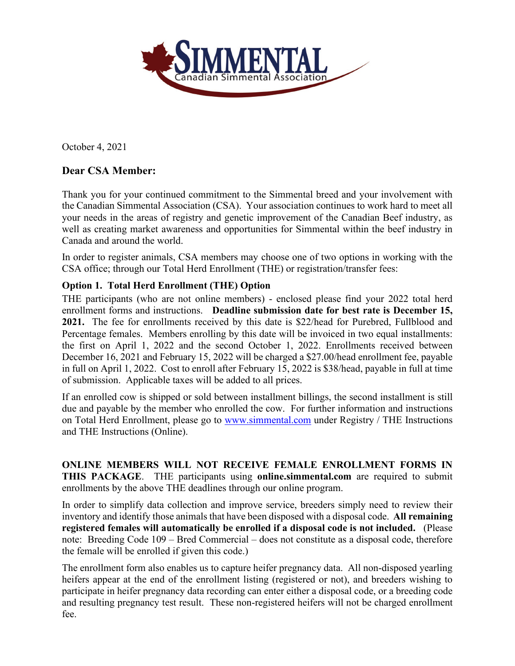

October 4, 2021

## **Dear CSA Member:**

Thank you for your continued commitment to the Simmental breed and your involvement with the Canadian Simmental Association (CSA). Your association continues to work hard to meet all your needs in the areas of registry and genetic improvement of the Canadian Beef industry, as well as creating market awareness and opportunities for Simmental within the beef industry in Canada and around the world.

In order to register animals, CSA members may choose one of two options in working with the CSA office; through our Total Herd Enrollment (THE) or registration/transfer fees:

## **Option 1. Total Herd Enrollment (THE) Option**

THE participants (who are not online members) - enclosed please find your 2022 total herd enrollment forms and instructions. **Deadline submission date for best rate is December 15, 2021.** The fee for enrollments received by this date is \$22/head for Purebred, Fullblood and Percentage females. Members enrolling by this date will be invoiced in two equal installments: the first on April 1, 2022 and the second October 1, 2022. Enrollments received between December 16, 2021 and February 15, 2022 will be charged a \$27.00/head enrollment fee, payable in full on April 1, 2022. Cost to enroll after February 15, 2022 is \$38/head, payable in full at time of submission. Applicable taxes will be added to all prices.

If an enrolled cow is shipped or sold between installment billings, the second installment is still due and payable by the member who enrolled the cow. For further information and instructions on Total Herd Enrollment, please go to [www.simmental.com](http://www.simmental.com/) under Registry / THE Instructions and THE Instructions (Online).

**ONLINE MEMBERS WILL NOT RECEIVE FEMALE ENROLLMENT FORMS IN THIS PACKAGE**. THE participants using **online.simmental.com** are required to submit enrollments by the above THE deadlines through our online program.

In order to simplify data collection and improve service, breeders simply need to review their inventory and identify those animals that have been disposed with a disposal code. **All remaining registered females will automatically be enrolled if a disposal code is not included.** (Please note: Breeding Code 109 – Bred Commercial – does not constitute as a disposal code, therefore the female will be enrolled if given this code.)

The enrollment form also enables us to capture heifer pregnancy data. All non-disposed yearling heifers appear at the end of the enrollment listing (registered or not), and breeders wishing to participate in heifer pregnancy data recording can enter either a disposal code, or a breeding code and resulting pregnancy test result. These non-registered heifers will not be charged enrollment fee.